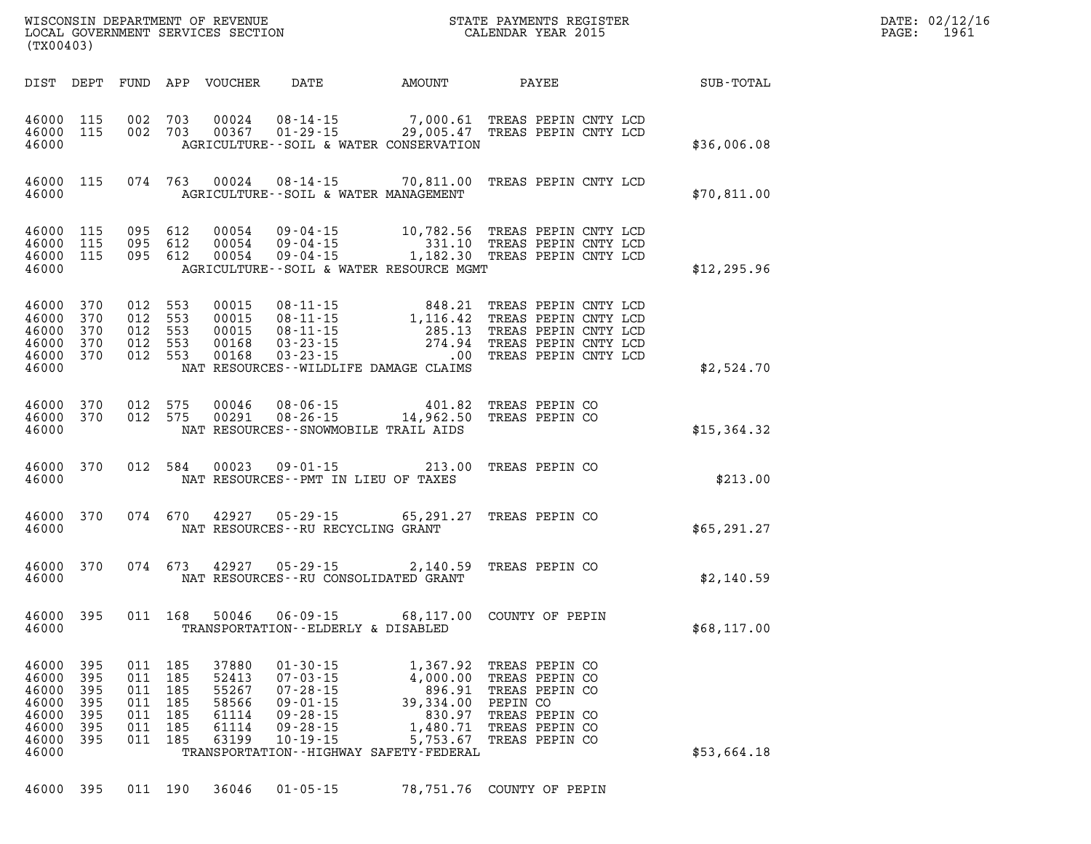| WISCONSIN DEPARTMENT OF REVENUE<br>(TX00403)                                                                                                                           | LOCAL GOVERNMENT SERVICES SECTION                                                                                                                                                                                                                                                         | $\mathbf N$<br>STATE PAYMENTS REGISTER<br>CALENDAR YEAR 2015                                                                                                                                          |              |  |  |  |
|------------------------------------------------------------------------------------------------------------------------------------------------------------------------|-------------------------------------------------------------------------------------------------------------------------------------------------------------------------------------------------------------------------------------------------------------------------------------------|-------------------------------------------------------------------------------------------------------------------------------------------------------------------------------------------------------|--------------|--|--|--|
| DIST<br>DEPT<br>FUND                                                                                                                                                   | APP<br>VOUCHER<br>DATE                                                                                                                                                                                                                                                                    | AMOUNT<br>PAYEE                                                                                                                                                                                       | SUB-TOTAL    |  |  |  |
| 46000<br>115<br>002<br>46000<br>115<br>002<br>46000                                                                                                                    | 703<br>00024<br>$08 - 14 - 15$<br>$01 - 29 - 15$ 29,005.47<br>703<br>00367<br>AGRICULTURE--SOIL & WATER CONSERVATION                                                                                                                                                                      | 7,000.61<br>TREAS PEPIN CNTY LCD<br>TREAS PEPIN CNTY LCD                                                                                                                                              | \$36,006.08  |  |  |  |
| 115<br>074<br>46000<br>46000                                                                                                                                           | 763<br>00024<br>$08 - 14 - 15$ 70,811.00<br>AGRICULTURE--SOIL & WATER MANAGEMENT                                                                                                                                                                                                          | TREAS PEPIN CNTY LCD                                                                                                                                                                                  | \$70,811.00  |  |  |  |
| 46000<br>115<br>095<br>46000<br>115<br>095<br>46000<br>115<br>095<br>46000                                                                                             | 612<br>00054<br>$09 - 04 - 15$<br>$09 - 04 - 15$<br>612<br>00054<br>00054<br>$09 - 04 - 15$<br>612<br>AGRICULTURE--SOIL & WATER RESOURCE MGMT                                                                                                                                             | 10,782.56<br>TREAS PEPIN CNTY LCD<br>331.10<br>TREAS PEPIN CNTY LCD<br>1,182.30<br>TREAS PEPIN CNTY LCD                                                                                               | \$12, 295.96 |  |  |  |
| 370<br>46000<br>012<br>46000<br>370<br>012<br>46000<br>370<br>012<br>46000<br>370<br>012<br>46000<br>370<br>012<br>46000                                               | 553<br>00015<br>$08 - 11 - 15$<br>553<br>00015<br>08-11-15<br>553<br>00015<br>$08 - 11 - 15$<br>553<br>00168<br>$03 - 23 - 15$<br>553<br>00168<br>$03 - 23 - 15$<br>NAT RESOURCES - - WILDLIFE DAMAGE CLAIMS                                                                              | 848.21<br>TREAS PEPIN CNTY LCD<br>1,116.42<br>TREAS PEPIN CNTY LCD<br>285.13<br>TREAS PEPIN CNTY LCD<br>274.94<br>TREAS PEPIN CNTY LCD<br>.00<br>TREAS PEPIN CNTY LCD                                 | \$2,524.70   |  |  |  |
| 370<br>012<br>46000<br>46000<br>370<br>012<br>46000                                                                                                                    | 575<br>$08 - 06 - 15$<br>00046<br>575<br>00291<br>$08 - 26 - 15$<br>NAT RESOURCES - - SNOWMOBILE TRAIL AIDS                                                                                                                                                                               | 401.82<br>TREAS PEPIN CO<br>14,962.50<br>TREAS PEPIN CO                                                                                                                                               | \$15,364.32  |  |  |  |
| 46000<br>370<br>012<br>46000                                                                                                                                           | 584<br>00023<br>$09 - 01 - 15$<br>NAT RESOURCES -- PMT IN LIEU OF TAXES                                                                                                                                                                                                                   | 213.00<br>TREAS PEPIN CO                                                                                                                                                                              | \$213.00     |  |  |  |
| 46000<br>370<br>074<br>46000                                                                                                                                           | 670<br>42927<br>$05 - 29 - 15$<br>NAT RESOURCES -- RU RECYCLING GRANT                                                                                                                                                                                                                     | 65,291.27<br>TREAS PEPIN CO                                                                                                                                                                           | \$65,291.27  |  |  |  |
| 46000<br>370<br>074<br>46000                                                                                                                                           | 673<br>42927<br>$05 - 29 - 15$<br>NAT RESOURCES - - RU CONSOLIDATED GRANT                                                                                                                                                                                                                 | 2,140.59<br>TREAS PEPIN CO                                                                                                                                                                            | \$2,140.59   |  |  |  |
| 46000<br>395<br>011<br>46000                                                                                                                                           | 168<br>50046<br>$06 - 09 - 15$<br>TRANSPORTATION - - ELDERLY & DISABLED                                                                                                                                                                                                                   | 68,117.00<br>COUNTY OF PEPIN                                                                                                                                                                          | \$68,117.00  |  |  |  |
| 395<br>46000<br>011<br>395<br>46000<br>011<br>46000<br>395<br>011<br>46000<br>395<br>011<br>46000<br>395<br>011<br>46000<br>395<br>011<br>46000<br>395<br>011<br>46000 | 185<br>37880<br>$01 - 30 - 15$<br>185<br>52413<br>$07 - 03 - 15$<br>185<br>55267<br>$07 - 28 - 15$<br>185<br>58566<br>$09 - 01 - 15$<br>185<br>61114<br>$09 - 28 - 15$<br>185<br>61114<br>$09 - 28 - 15$<br>185<br>63199<br>$10 - 19 - 15$<br>TRANSPORTATION - - HIGHWAY SAFETY - FEDERAL | 1,367.92<br>TREAS PEPIN CO<br>4,000.00<br>TREAS PEPIN CO<br>896.91<br>TREAS PEPIN CO<br>39,334.00<br>PEPIN CO<br>830.97<br>TREAS PEPIN CO<br>1,480.71<br>TREAS PEPIN CO<br>5,753.67<br>TREAS PEPIN CO | \$53,664.18  |  |  |  |
| 46000<br>395<br>011                                                                                                                                                    | 190<br>36046<br>$01 - 05 - 15$                                                                                                                                                                                                                                                            | 78,751.76<br>COUNTY OF PEPIN                                                                                                                                                                          |              |  |  |  |

**DATE: 02/12/16<br>PAGE: 1961**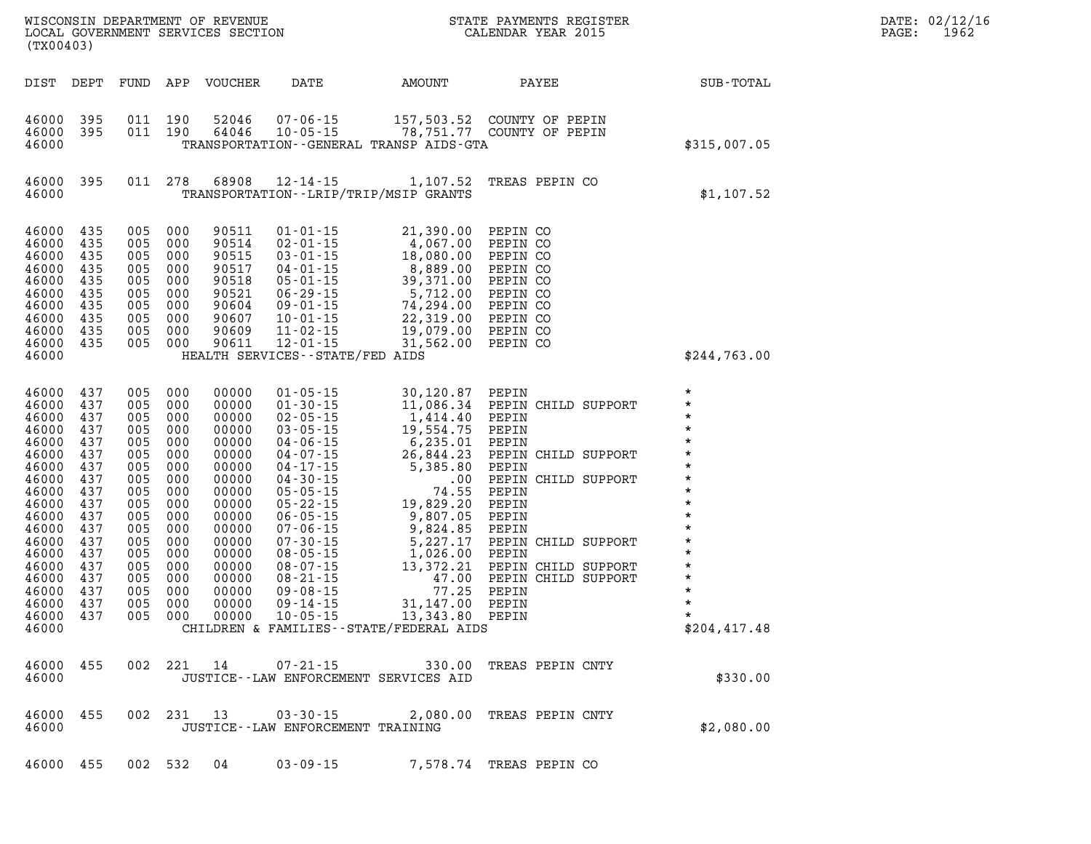| WISCONSIN DEPARTMENT OF REVENUE<br>LOCAL GOVERNMENT SERVICES SECTION<br>(TYOO402)<br>(TX00403)                                                                                                                                                   |                   |                                                                                                                                                         |                                                                                                 |                                                                                                                                                                         |                                          |                                                                                                                                                                                                                                                                |                                                                                             | $\label{eq:2.1} \frac{1}{\sqrt{2}}\int_{\mathbb{R}^3}\frac{1}{\sqrt{2}}\left(\frac{1}{\sqrt{2}}\right)^2\left(\frac{1}{\sqrt{2}}\right)^2\left(\frac{1}{\sqrt{2}}\right)^2\left(\frac{1}{\sqrt{2}}\right)^2\left(\frac{1}{\sqrt{2}}\right)^2\left(\frac{1}{\sqrt{2}}\right)^2\left(\frac{1}{\sqrt{2}}\right)^2\left(\frac{1}{\sqrt{2}}\right)^2\left(\frac{1}{\sqrt{2}}\right)^2\left(\frac{1}{\sqrt{2}}\right)^2\left(\frac{1}{\sqrt{2}}\right)^2\left(\frac$ | DATE: 02/12/16<br>PAGE:<br>1962 |
|--------------------------------------------------------------------------------------------------------------------------------------------------------------------------------------------------------------------------------------------------|-------------------|---------------------------------------------------------------------------------------------------------------------------------------------------------|-------------------------------------------------------------------------------------------------|-------------------------------------------------------------------------------------------------------------------------------------------------------------------------|------------------------------------------|----------------------------------------------------------------------------------------------------------------------------------------------------------------------------------------------------------------------------------------------------------------|---------------------------------------------------------------------------------------------|----------------------------------------------------------------------------------------------------------------------------------------------------------------------------------------------------------------------------------------------------------------------------------------------------------------------------------------------------------------------------------------------------------------------------------------------------------------|---------------------------------|
|                                                                                                                                                                                                                                                  |                   |                                                                                                                                                         |                                                                                                 | DIST DEPT FUND APP VOUCHER                                                                                                                                              | DATE AMOUNT                              |                                                                                                                                                                                                                                                                |                                                                                             | PAYEE SUB-TOTAL                                                                                                                                                                                                                                                                                                                                                                                                                                                |                                 |
| 46000 395<br>46000 395<br>46000                                                                                                                                                                                                                  |                   |                                                                                                                                                         | 011 190<br>011 190                                                                              |                                                                                                                                                                         |                                          | TRANSPORTATION--GENERAL TRANSP AIDS-GTA                                                                                                                                                                                                                        | 52046  07-06-15  157,503.52  COUNTY OF PEPIN<br>64046  10-05-15  78,751.77  COUNTY OF PEPIN | \$315,007.05                                                                                                                                                                                                                                                                                                                                                                                                                                                   |                                 |
| 46000<br>46000                                                                                                                                                                                                                                   | 395               |                                                                                                                                                         | 011 278                                                                                         |                                                                                                                                                                         | TRANSPORTATION - - LRIP/TRIP/MSIP GRANTS |                                                                                                                                                                                                                                                                | 68908 12-14-15 1,107.52 TREAS PEPIN CO                                                      | \$1,107.52                                                                                                                                                                                                                                                                                                                                                                                                                                                     |                                 |
| 46000 435<br>46000 435<br>46000 435<br>46000<br>46000 435<br>46000<br>46000 435<br>46000 435<br>46000 435<br>46000 435<br>46000                                                                                                                  | 435<br>435        | 005 000                                                                                                                                                 | 005 000<br>005 000<br>005 000<br>005 000<br>005 000<br>005 000<br>005 000<br>005 000<br>005 000 | 90511<br>90514<br>90515<br>90517<br>90518<br>90521<br>90604<br>90607<br>90609<br>90611                                                                                  | HEALTH SERVICES--STATE/FED AIDS          | 01-01-15<br>02-01-15<br>03-01-15<br>4,067.00 PEPINCO<br>03-01-15<br>18,080.00 PEPINCO<br>04-01-15<br>8,889.00 PEPINCO<br>05-01-15<br>39,371.00 PEPINCO<br>06-29-15<br>5,712.00 PEPINCO<br>09-01-15<br>74,294.00 PEPINCO<br>10-01-15<br>22,319.00 PEPINCO<br>11 |                                                                                             | \$244,763.00                                                                                                                                                                                                                                                                                                                                                                                                                                                   |                                 |
| 46000 437<br>46000 437<br>46000<br>46000 437<br>46000 437<br>46000 437<br>46000<br>46000 437<br>46000 437<br>46000 437<br>46000<br>46000 437<br>46000 437<br>46000 437<br>46000 437<br>46000 437<br>46000 437<br>46000 437<br>46000 437<br>46000 | 437<br>437<br>437 | 005 000<br>005 000<br>005 000<br>005 000<br>005 000<br>005 000<br>005<br>005<br>005<br>005 000<br>005<br>005<br>005<br>005 000<br>005 000<br>005<br>005 | 005 000<br>005 000<br>000<br>000<br>000<br>000<br>000<br>000<br>000<br>000                      | 00000<br>00000<br>00000<br>00000<br>00000<br>00000<br>00000<br>00000<br>00000<br>00000<br>00000<br>00000<br>00000<br>00000<br>00000<br>00000<br>00000<br>00000<br>00000 |                                          |                                                                                                                                                                                                                                                                | CHILDREN & FAMILIES--STATE/FEDERAL AIDS                                                     | $\star$<br>$\star$<br>$\star$<br>$\star$<br>$\star$<br>$\star$<br>$\star$<br>$\star$<br>$\star$<br>$\star$<br>$\star$<br>\$204,417.48                                                                                                                                                                                                                                                                                                                          |                                 |
| 46000                                                                                                                                                                                                                                            | 46000 455         |                                                                                                                                                         |                                                                                                 |                                                                                                                                                                         | JUSTICE -- LAW ENFORCEMENT SERVICES AID  |                                                                                                                                                                                                                                                                | 002 221 14 07-21-15 330.00 TREAS PEPIN CNTY                                                 | \$330.00                                                                                                                                                                                                                                                                                                                                                                                                                                                       |                                 |
| 46000 455<br>46000                                                                                                                                                                                                                               |                   |                                                                                                                                                         |                                                                                                 |                                                                                                                                                                         | JUSTICE - - LAW ENFORCEMENT TRAINING     |                                                                                                                                                                                                                                                                | 002 231 13 03-30-15 2,080.00 TREAS PEPIN CNTY                                               | \$2,080.00                                                                                                                                                                                                                                                                                                                                                                                                                                                     |                                 |
| 46000 455                                                                                                                                                                                                                                        |                   |                                                                                                                                                         |                                                                                                 | 002 532 04                                                                                                                                                              | $03 - 09 - 15$                           |                                                                                                                                                                                                                                                                | 7,578.74 TREAS PEPIN CO                                                                     |                                                                                                                                                                                                                                                                                                                                                                                                                                                                |                                 |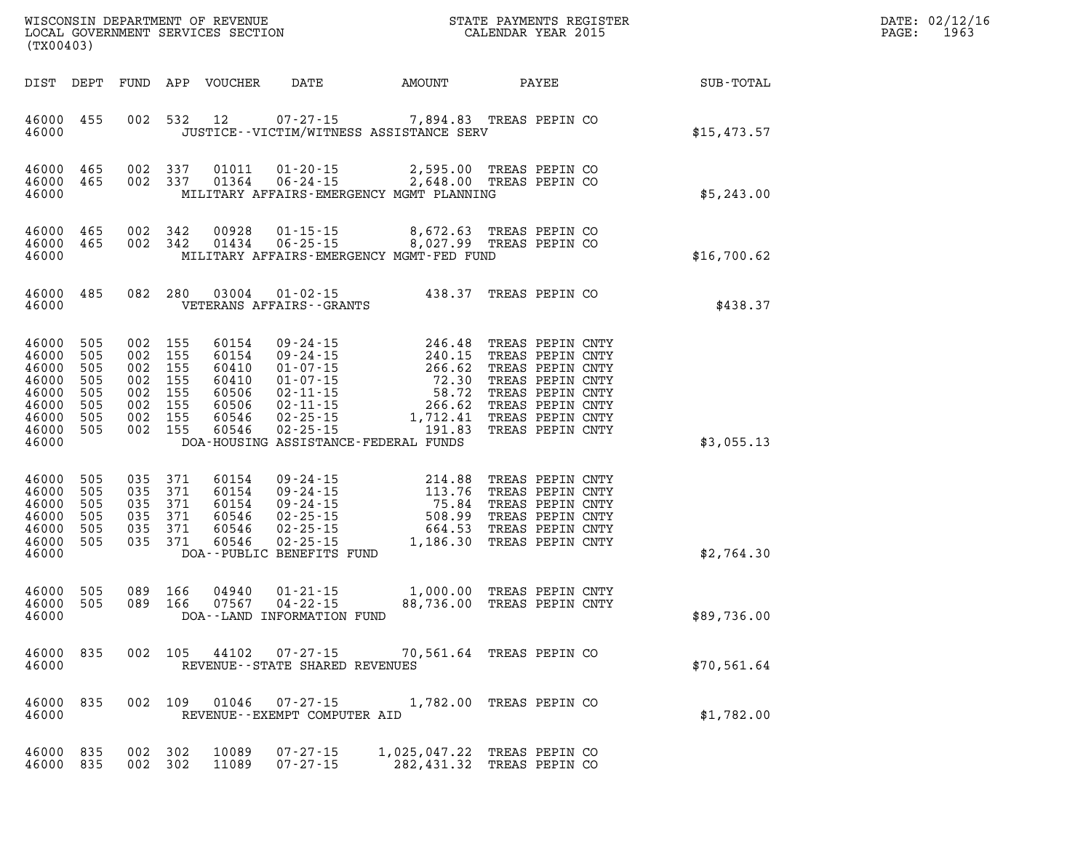| WISCONSIN DEPARTMENT OF REVENUE<br>LOCAL GOVERNMENT SERVICES SECTION<br>(TYOO403)<br>(TYOO403)<br>(TX00403) |                                                                                                               |  |  |                                                                                      |                                                                      |                                                             | $\mathbb{E} \mathbf{R}$                                                                                                                                                                                                                                                                                            | DATE: 02/12/1<br>$\mathtt{PAGE}$ :<br>1963 |                                                              |  |
|-------------------------------------------------------------------------------------------------------------|---------------------------------------------------------------------------------------------------------------|--|--|--------------------------------------------------------------------------------------|----------------------------------------------------------------------|-------------------------------------------------------------|--------------------------------------------------------------------------------------------------------------------------------------------------------------------------------------------------------------------------------------------------------------------------------------------------------------------|--------------------------------------------|--------------------------------------------------------------|--|
|                                                                                                             |                                                                                                               |  |  |                                                                                      |                                                                      |                                                             |                                                                                                                                                                                                                                                                                                                    |                                            | DIST DEPT FUND APP VOUCHER DATE AMOUNT PAYEE PAYEE SUB-TOTAL |  |
|                                                                                                             | 46000 455<br>46000                                                                                            |  |  |                                                                                      |                                                                      |                                                             | 002 532 12 07-27-15 7,894.83 TREAS PEPIN CO<br>JUSTICE -- VICTIM/WITNESS ASSISTANCE SERV                                                                                                                                                                                                                           |                                            | \$15,473.57                                                  |  |
|                                                                                                             | 46000 465<br>46000 465<br>46000                                                                               |  |  |                                                                                      |                                                                      |                                                             | 002 337 01011 01-20-15 2,595.00 TREAS PEPIN CO<br>002 337 01364 06-24-15 2,648.00 TREAS PEPIN CO<br>MILITARY AFFAIRS-EMERGENCY MGMT PLANNING                                                                                                                                                                       |                                            | \$5,243.00                                                   |  |
|                                                                                                             | 46000 465<br>46000 465<br>46000                                                                               |  |  |                                                                                      |                                                                      |                                                             | 002 342 00928 01-15-15 8,672.63 TREAS PEPIN CO<br>002 342 01434 06-25-15 8,027.99 TREAS PEPIN CO<br>MILITARY AFFAIRS-EMERGENCY MGMT-FED FUND                                                                                                                                                                       |                                            | \$16,700.62                                                  |  |
|                                                                                                             |                                                                                                               |  |  |                                                                                      |                                                                      |                                                             | $\begin{tabular}{lllllll} 46000 & 485 & 082 & 280 & 03004 & 01-02-15 & & 438.37 \end{tabular} \begin{tabular}{lllll} \bf 46000 & 485 & 082 & 280 & 03004 & 01-02-15 & & 438.37 \end{tabular} \end{tabular}$                                                                                                        |                                            | \$438.37                                                     |  |
|                                                                                                             | 46000 505<br>46000 505<br>46000 505<br>46000 505<br>46000 505<br>46000 505<br>46000 505<br>46000 505<br>46000 |  |  | 002 155<br>002 155<br>002 155<br>002 155<br>002 155<br>002 155<br>002 155<br>002 155 | 60154<br>60154<br>60410<br>60410<br>60506<br>60506<br>60546<br>60546 |                                                             | 09-24-15<br>09-24-15<br>01-07-15<br>01-07-15<br>01-07-15<br>02-11-15<br>02-11-15<br>02-25-15<br>02-25-15<br>02-25-15<br>02-25-15<br>02-25-15<br>02-25-15<br>02-25-15<br>02-25-15<br>02-25-15<br>02-25-15<br>02-25-15<br>02-25-15<br>02-25-15<br>02-25-15<br>02-25-15<br>02<br>DOA-HOUSING ASSISTANCE-FEDERAL FUNDS |                                            | \$3,055.13                                                   |  |
|                                                                                                             | 46000 505<br>46000 505<br>46000 505<br>46000 505<br>46000 505<br>46000 505<br>46000                           |  |  | 035 371<br>035 371<br>035 371<br>035 371<br>035 371<br>035 371                       | 60154<br>60154<br>60154<br>60546<br>60546<br>60546                   | DOA--PUBLIC BENEFITS FUND                                   | 09-24-15<br>09-24-15<br>09-24-15<br>09-24-15<br>09-24-15<br>02-25-15<br>02-25-15<br>02-25-15<br>02-25-15<br>02-25-15<br>02-25-15<br>1,186.30<br>TREAS PEPIN CNTY<br>02-25-15<br>02-25-15<br>02-25-15<br>02-25-15<br>02-25-15<br>02-25-15<br>02-25-15<br>02-25-15<br>02-2                                           |                                            | \$2,764.30                                                   |  |
|                                                                                                             | 46000 505<br>46000 505<br>46000                                                                               |  |  | 089 166                                                                              | 04940                                                                | 089 166 07567 04-22-15<br>DOA--LAND INFORMATION FUND        | 01-21-15 1,000.00 TREAS PEPIN CNTY<br>04-22-15 88,736.00 TREAS PEPIN CNTY<br>88,736.00 TREAS PEPIN CNTY                                                                                                                                                                                                            |                                            | \$89,736.00                                                  |  |
|                                                                                                             | 46000 835<br>46000                                                                                            |  |  |                                                                                      |                                                                      | 002 105 44102 07-27-15<br>REVENUE - - STATE SHARED REVENUES | 70,561.64 TREAS PEPIN CO                                                                                                                                                                                                                                                                                           |                                            | \$70,561.64                                                  |  |
|                                                                                                             | 46000 835<br>46000                                                                                            |  |  | 002 109                                                                              |                                                                      | REVENUE--EXEMPT COMPUTER AID                                | 01046  07-27-15  1,782.00 TREAS PEPIN CO                                                                                                                                                                                                                                                                           |                                            | \$1,782.00                                                   |  |
|                                                                                                             | 46000 835<br>46000 835                                                                                        |  |  | 002 302<br>002 302                                                                   | 10089<br>11089                                                       | $07 - 27 - 15$<br>$07 - 27 - 15$                            | 1,025,047.22 TREAS PEPIN CO<br>282,431.32 TREAS PEPIN CO                                                                                                                                                                                                                                                           |                                            |                                                              |  |

**DATE: 02/12/16<br>PAGE: 1963**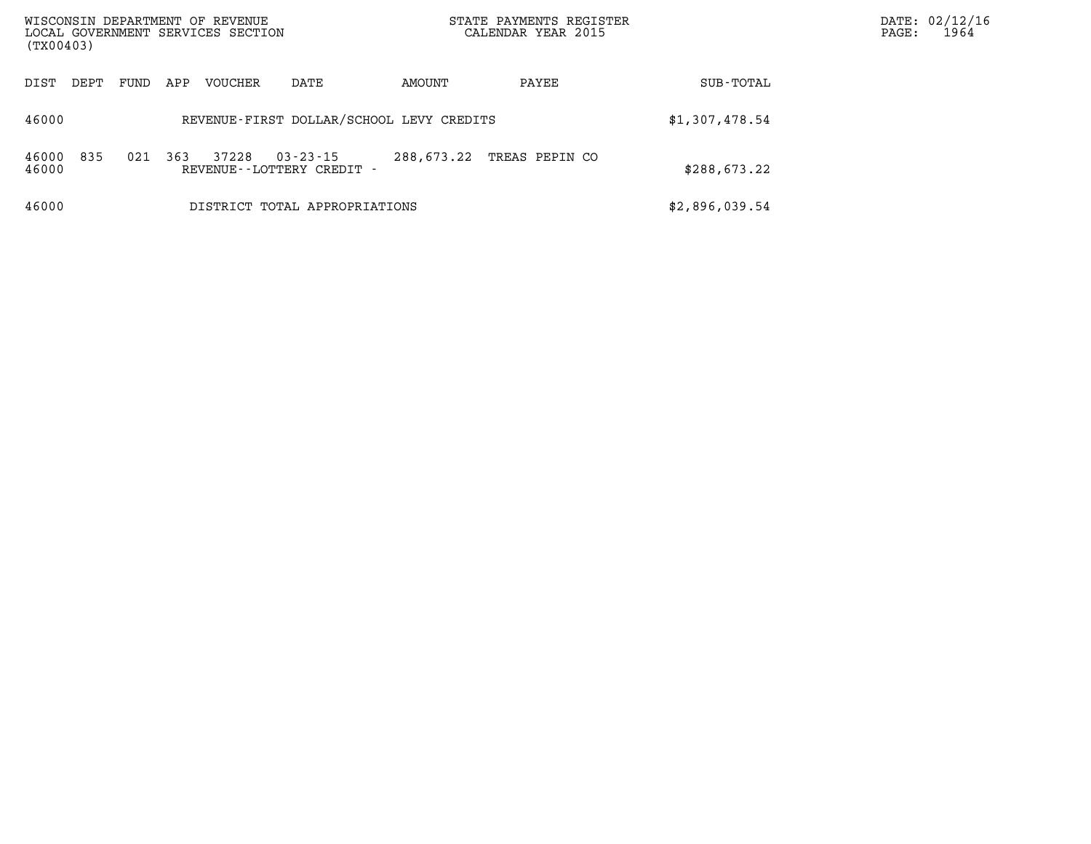| WISCONSIN DEPARTMENT OF REVENUE<br>LOCAL GOVERNMENT SERVICES SECTION<br>(TX00403) |                                          |     |         |                                                |            | STATE PAYMENTS REGISTER<br>CALENDAR YEAR 2015 | DATE: 02/12/16<br>1964<br>PAGE: |  |
|-----------------------------------------------------------------------------------|------------------------------------------|-----|---------|------------------------------------------------|------------|-----------------------------------------------|---------------------------------|--|
| DIST<br>DEPT                                                                      | FUND                                     | APP | VOUCHER | DATE                                           | AMOUNT     | PAYEE                                         | SUB-TOTAL                       |  |
| 46000                                                                             | REVENUE-FIRST DOLLAR/SCHOOL LEVY CREDITS |     |         |                                                |            |                                               | \$1,307,478.54                  |  |
| 835<br>46000<br>46000                                                             | 021                                      | 363 | 37228   | $03 - 23 - 15$<br>REVENUE - - LOTTERY CREDIT - | 288,673.22 | TREAS PEPIN CO                                | \$288,673.22                    |  |
| 46000                                                                             |                                          |     |         | DISTRICT TOTAL APPROPRIATIONS                  |            |                                               | \$2,896,039.54                  |  |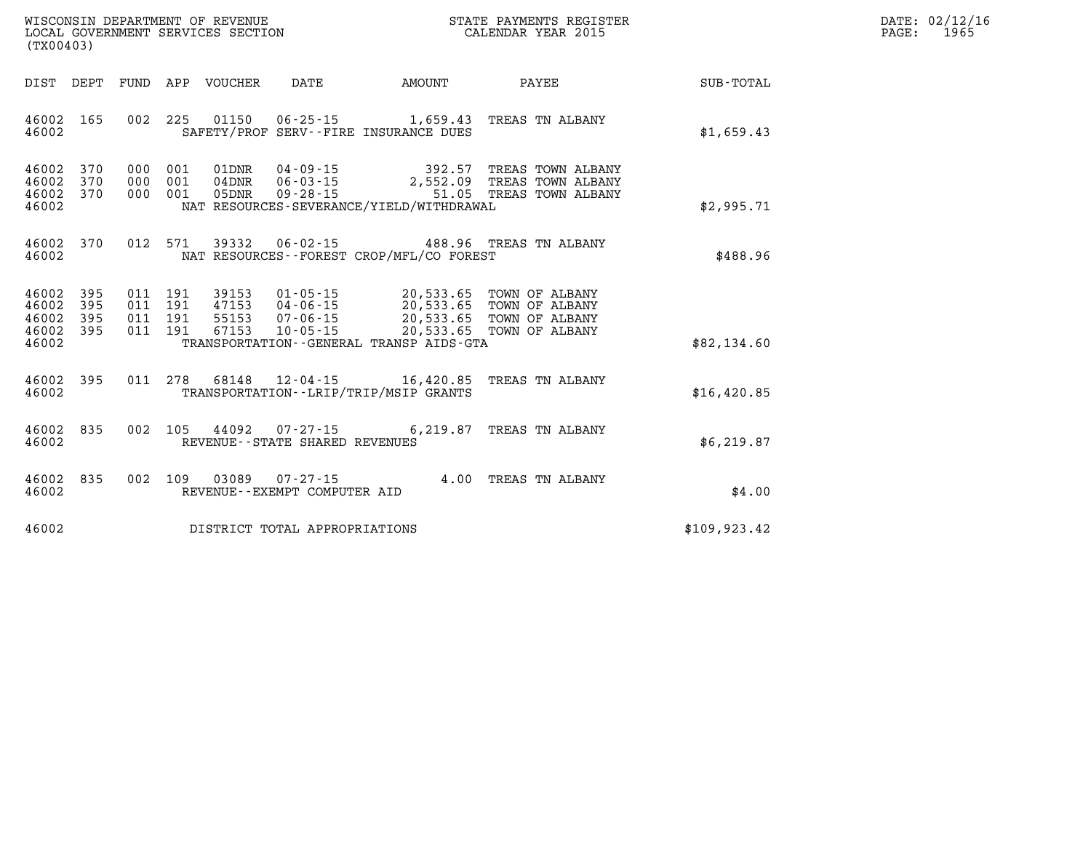| $\mathtt{DATE}$ : | 02/12/16 |
|-------------------|----------|
| PAGE:             | 1965     |

| (TX00403)                                                             | WISCONSIN DEPARTMENT OF REVENUE<br>LOCAL GOVERNMENT SERVICES SECTION                  |                                                                                                                              | STATE PAYMENTS REGISTER<br>CALENDAR YEAR 2015                                                      |               |  |  |
|-----------------------------------------------------------------------|---------------------------------------------------------------------------------------|------------------------------------------------------------------------------------------------------------------------------|----------------------------------------------------------------------------------------------------|---------------|--|--|
| DEPT<br>DIST                                                          | FUND<br>APP VOUCHER                                                                   | DATE<br>AMOUNT                                                                                                               | PAYEE                                                                                              | SUB-TOTAL     |  |  |
| 46002<br>165<br>46002                                                 | 002<br>225<br>01150                                                                   | 06-25-15 1,659.43 TREAS TN ALBANY<br>SAFETY/PROF SERV--FIRE INSURANCE DUES                                                   |                                                                                                    | \$1,659.43    |  |  |
| 46002<br>370<br>370<br>46002<br>370<br>46002<br>46002                 | 000<br>001<br>01DNR<br>001<br>000<br>$04$ DNR<br>001<br>05DNR<br>000                  | $04 - 09 - 15$<br>$06 - 03 - 15$<br>$09 - 28 - 15$<br>NAT RESOURCES-SEVERANCE/YIELD/WITHDRAWAL                               | 392.57 TREAS TOWN ALBANY<br>2,552.09 TREAS TOWN ALBANY<br>51.05 TREAS TOWN ALBANY                  | \$2,995.71    |  |  |
| 370<br>46002<br>46002                                                 | 012<br>571<br>39332                                                                   | $06 - 02 - 15$<br>488.96<br>NAT RESOURCES - - FOREST CROP/MFL/CO FOREST                                                      | TREAS TN ALBANY                                                                                    | \$488.96      |  |  |
| 395<br>46002<br>46002<br>395<br>46002<br>395<br>46002<br>395<br>46002 | 011 191<br>39153<br>011<br>191<br>47153<br>191<br>011<br>55153<br>191<br>67153<br>011 | $01 - 05 - 15$<br>$04 - 06 - 15$<br>$07 - 06 - 15$<br>20,533.65<br>$10 - 05 - 15$<br>TRANSPORTATION--GENERAL TRANSP AIDS-GTA | 20,533.65 TOWN OF ALBANY<br>20,533.65 TOWN OF ALBANY<br>TOWN OF ALBANY<br>20,533.65 TOWN OF ALBANY | \$82,134.60   |  |  |
| 395<br>46002<br>46002                                                 | 011<br>278<br>68148                                                                   | $12 - 04 - 15$<br>16,420.85<br>TRANSPORTATION--LRIP/TRIP/MSIP GRANTS                                                         | TREAS TN ALBANY                                                                                    | \$16,420.85   |  |  |
| 835<br>46002<br>46002                                                 | 002<br>105<br>44092                                                                   | 6,219.87<br>$07 - 27 - 15$<br>REVENUE - - STATE SHARED REVENUES                                                              | TREAS TN ALBANY                                                                                    | \$6, 219.87   |  |  |
| 46002<br>835<br>46002                                                 | 002<br>109<br>03089                                                                   | $07 - 27 - 15$<br>4.00<br>REVENUE--EXEMPT COMPUTER AID                                                                       | TREAS TN ALBANY                                                                                    | \$4.00        |  |  |
| 46002                                                                 |                                                                                       | DISTRICT TOTAL APPROPRIATIONS                                                                                                |                                                                                                    | \$109, 923.42 |  |  |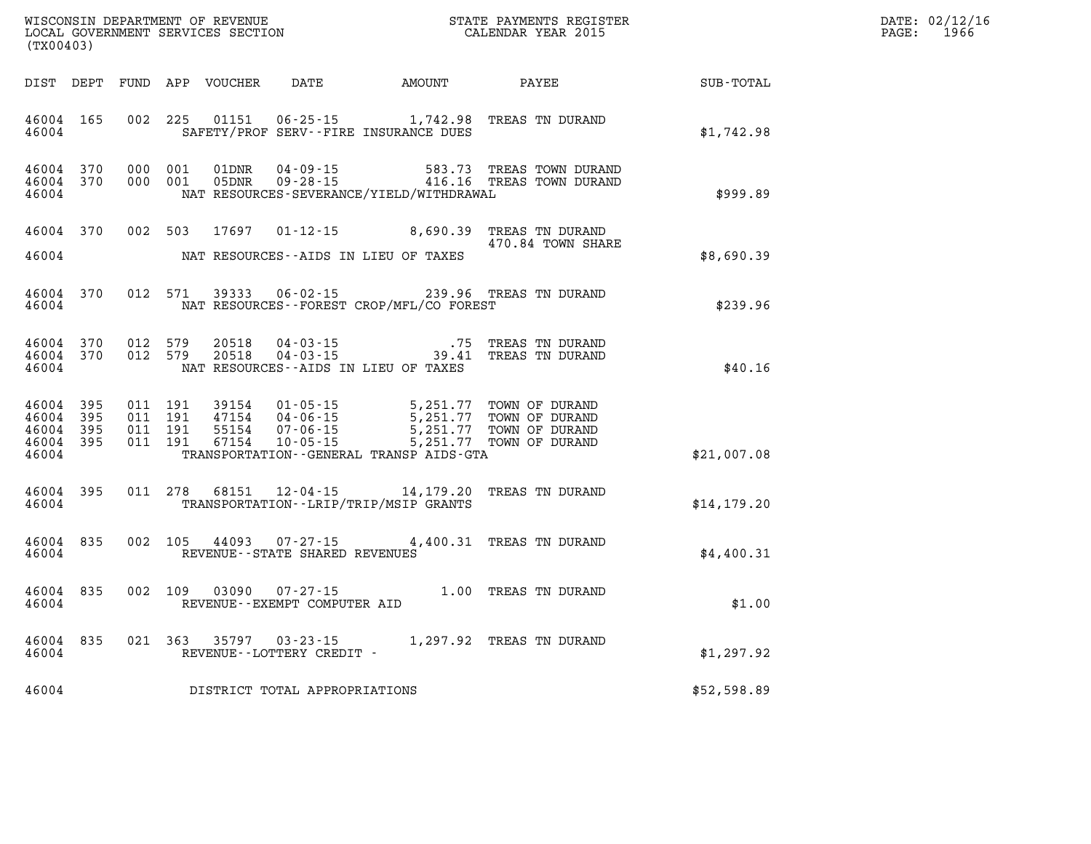| WISCONSIN DEPARTMENT OF REVENUE      | PAYMENTS REGISTER<br>3TATE | 02/12/16<br>DATE: |
|--------------------------------------|----------------------------|-------------------|
| GOVERNMENT SERVICES SECTION<br>LOCAL | CALENDAR YEAR 2015         | 1966<br>PAGE      |

| (TX00403)                                                 | LOCAL GOVERNMENT SERVICES SECTION |  |         |                        |                                     |                                                                                                                                                                                                                                                                                                                                                                                       | CALENDAR YEAR 2015                                                               |              | PAGE: | 1966 |
|-----------------------------------------------------------|-----------------------------------|--|---------|------------------------|-------------------------------------|---------------------------------------------------------------------------------------------------------------------------------------------------------------------------------------------------------------------------------------------------------------------------------------------------------------------------------------------------------------------------------------|----------------------------------------------------------------------------------|--------------|-------|------|
|                                                           |                                   |  |         |                        |                                     |                                                                                                                                                                                                                                                                                                                                                                                       |                                                                                  |              |       |      |
| 46004                                                     | 46004 165                         |  |         |                        |                                     | SAFETY/PROF SERV--FIRE INSURANCE DUES                                                                                                                                                                                                                                                                                                                                                 | 002 225 01151 06-25-15 1,742.98 TREAS TN DURAND                                  | \$1,742.98   |       |      |
| 46004 370<br>46004 370<br>46004                           |                                   |  |         |                        |                                     | NAT RESOURCES-SEVERANCE/YIELD/WITHDRAWAL                                                                                                                                                                                                                                                                                                                                              |                                                                                  | \$999.89     |       |      |
| 46004 370<br>46004                                        |                                   |  |         |                        |                                     | NAT RESOURCES--AIDS IN LIEU OF TAXES                                                                                                                                                                                                                                                                                                                                                  | 002 503 17697 01-12-15 8,690.39 TREAS TN DURAND<br>470.84 TOWN SHARE             | \$8,690.39   |       |      |
| 46004                                                     | 46004 370                         |  |         |                        |                                     | NAT RESOURCES--FOREST CROP/MFL/CO FOREST                                                                                                                                                                                                                                                                                                                                              | 012 571 39333 06-02-15 239.96 TREAS TN DURAND                                    | \$239.96     |       |      |
| 46004 370<br>46004 370<br>46004                           |                                   |  | 012 579 | 20518<br>012 579 20518 |                                     | NAT RESOURCES--AIDS IN LIEU OF TAXES                                                                                                                                                                                                                                                                                                                                                  |                                                                                  | \$40.16      |       |      |
| 46004 395<br>46004 395<br>46004 395<br>46004 395<br>46004 |                                   |  |         |                        |                                     | $\begin{array}{cccccc} 011 & 191 & 39154 & 01\cdot 05\cdot 15 & & 5\,251\,.77 & \textrm{TOWN OF DURAND} \\ 011 & 191 & 47154 & 04\cdot 06\cdot 15 & & 5\,251\,.77 & \textrm{TOWN OF DURAND} \\ 011 & 191 & 55154 & 07\cdot 06\cdot 15 & & 5\,251\,.77 & \textrm{TOWN OF DURAND} \\ 011 & 191 & 67154 & 10\cdot 05\cdot 15 & & 5\,251\,.77$<br>TRANSPORTATION--GENERAL TRANSP AIDS-GTA |                                                                                  | \$21,007.08  |       |      |
| 46004 395<br>46004                                        |                                   |  |         |                        |                                     | TRANSPORTATION - - LRIP/TRIP/MSIP GRANTS                                                                                                                                                                                                                                                                                                                                              | 011 278 68151 12-04-15 14,179.20 TREAS TN DURAND                                 | \$14, 179.20 |       |      |
| 46004<br>46004                                            | 835                               |  |         |                        | REVENUE--STATE SHARED REVENUES      |                                                                                                                                                                                                                                                                                                                                                                                       | 002 105 44093 07-27-15 4,400.31 TREAS TN DURAND                                  | \$4,400.31   |       |      |
| 46004<br>46004                                            | 835                               |  |         |                        |                                     |                                                                                                                                                                                                                                                                                                                                                                                       | 002  109  03090  07-27-15   1.00  TREAS TN DURAND   REVENUE--EXEMPT COMPUTER AID | \$1.00       |       |      |
| 46004<br>46004                                            | 835                               |  |         |                        | REVENUE--LOTTERY CREDIT -           |                                                                                                                                                                                                                                                                                                                                                                                       | 021 363 35797 03-23-15 1,297.92 TREAS TN DURAND                                  | \$1,297.92   |       |      |
|                                                           |                                   |  |         |                        | 46004 DISTRICT TOTAL APPROPRIATIONS |                                                                                                                                                                                                                                                                                                                                                                                       |                                                                                  | \$52,598.89  |       |      |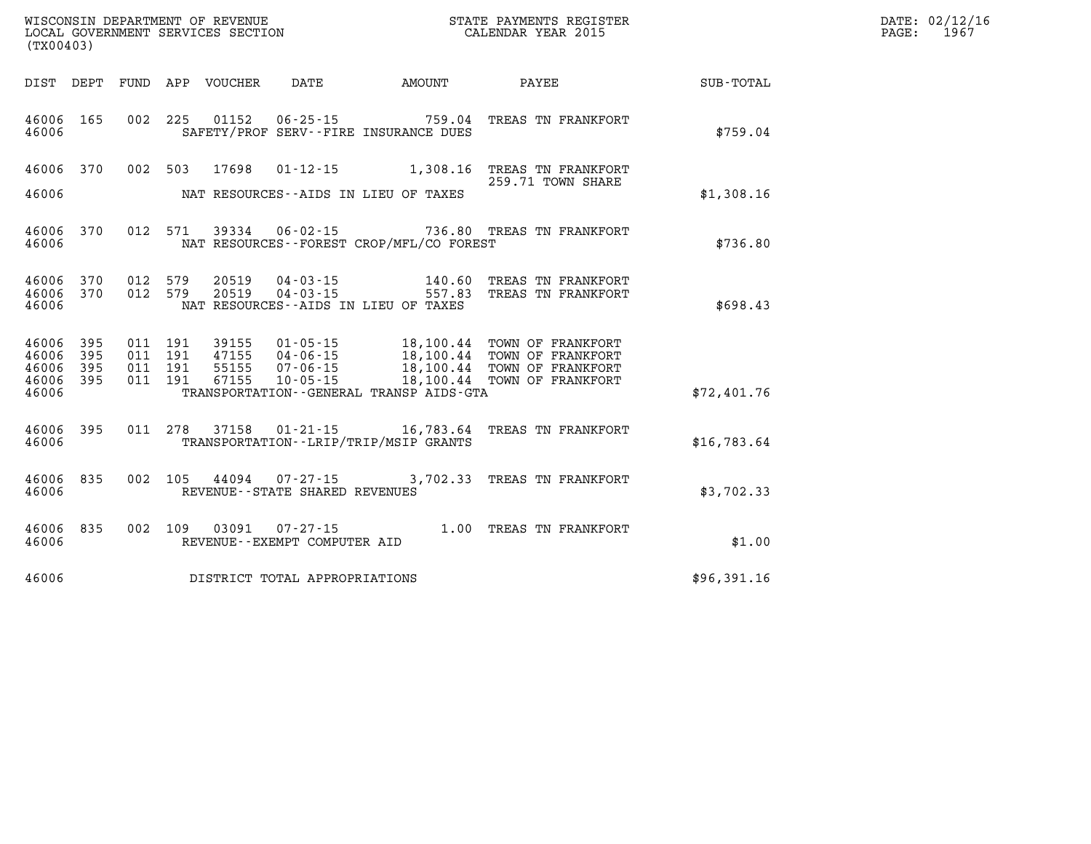| WISCONSIN DEPARTMENT OF REVENUE   | R PAYMENTS REGISTER<br>STATE | $\mathtt{DATE}$ : | 02/12/16 |
|-----------------------------------|------------------------------|-------------------|----------|
| LOCAL GOVERNMENT SERVICES SECTION | CALENDAR YEAR 2015           | PAGE              | 196'     |

|                  |                                                                                  |                                                                                             |                                                                      |                                  |                          |                          |                          | (TX00403)                                 |
|------------------|----------------------------------------------------------------------------------|---------------------------------------------------------------------------------------------|----------------------------------------------------------------------|----------------------------------|--------------------------|--------------------------|--------------------------|-------------------------------------------|
| <b>SUB-TOTAL</b> | PAYEE                                                                            | AMOUNT                                                                                      | DATE                                                                 | VOUCHER                          | APP                      | FUND                     | DEPT                     | DIST                                      |
| \$759.04         | TREAS TN FRANKFORT                                                               | 759.04<br>SAFETY/PROF SERV--FIRE INSURANCE DUES                                             | $06 - 25 - 15$                                                       | 01152                            | 225                      | 002                      | 165                      | 46006<br>46006                            |
| \$1,308.16       | TREAS TN FRANKFORT<br>259.71 TOWN SHARE                                          | 1,308.16<br>NAT RESOURCES--AIDS IN LIEU OF TAXES                                            | $01 - 12 - 15$                                                       | 17698                            | 503                      | 002                      | 370                      | 46006<br>46006                            |
| \$736.80         | TREAS TN FRANKFORT                                                               | 736.80<br>NAT RESOURCES - - FOREST CROP/MFL/CO FOREST                                       | $06 - 02 - 15$                                                       | 39334                            | 571                      | 012                      | 370                      | 46006<br>46006                            |
| \$698.43         | TREAS TN FRANKFORT<br>TREAS TN FRANKFORT                                         | 140.60<br>557.83<br>NAT RESOURCES -- AIDS IN LIEU OF TAXES                                  | $04 - 03 - 15$<br>$04 - 03 - 15$                                     | 20519<br>20519                   | 579<br>579               | 012<br>012               | 370<br>370               | 46006<br>46006<br>46006                   |
| \$72,401.76      | TOWN OF FRANKFORT<br>TOWN OF FRANKFORT<br>TOWN OF FRANKFORT<br>TOWN OF FRANKFORT | 18,100.44<br>18,100.44<br>18,100.44<br>18,100.44<br>TRANSPORTATION--GENERAL TRANSP AIDS-GTA | $01 - 05 - 15$<br>$04 - 06 - 15$<br>$07 - 06 - 15$<br>$10 - 05 - 15$ | 39155<br>47155<br>55155<br>67155 | 191<br>191<br>191<br>191 | 011<br>011<br>011<br>011 | 395<br>395<br>395<br>395 | 46006<br>46006<br>46006<br>46006<br>46006 |
| \$16,783.64      | TREAS TN FRANKFORT                                                               | 16,783.64<br>TRANSPORTATION - - LRIP/TRIP/MSIP GRANTS                                       | $01 - 21 - 15$                                                       | 37158                            | 278                      | 011                      | 395                      | 46006<br>46006                            |
| \$3,702.33       | 3,702.33 TREAS TN FRANKFORT                                                      |                                                                                             | $07 - 27 - 15$<br>REVENUE - - STATE SHARED REVENUES                  | 44094                            | 105                      | 002                      | 835                      | 46006<br>46006                            |
| \$1.00           | TREAS TN FRANKFORT                                                               | 1.00                                                                                        | $07 - 27 - 15$<br>REVENUE--EXEMPT COMPUTER AID                       | 03091                            | 109                      | 002                      | 835                      | 46006<br>46006                            |
| \$96,391.16      |                                                                                  |                                                                                             | DISTRICT TOTAL APPROPRIATIONS                                        |                                  |                          |                          |                          | 46006                                     |

WISCONSIN DEPARTMENT OF REVENUE **STATE PAYMENTS REGISTER**<br>LOCAL GOVERNMENT SERVICES SECTION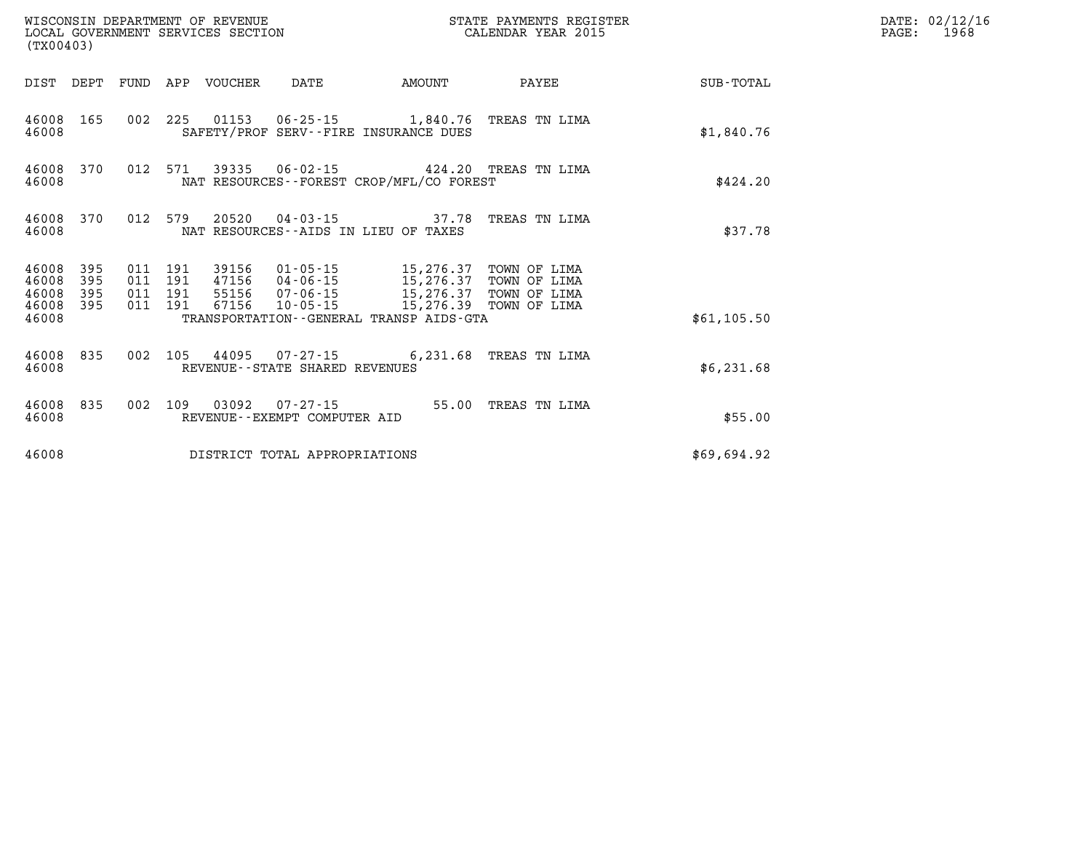| WISCONSIN DEPARTMENT OF REVENUE<br>LOCAL GOVERNMENT SERVICES SECTION<br>(TX00403) |                   |                                          |         |                            |                                          |                                                                                                                                           | STATE PAYMENTS REGISTER<br>CALENDAR YEAR 2015 |             | DATE: 02/12/16<br>$\mathtt{PAGE:}$<br>1968 |
|-----------------------------------------------------------------------------------|-------------------|------------------------------------------|---------|----------------------------|------------------------------------------|-------------------------------------------------------------------------------------------------------------------------------------------|-----------------------------------------------|-------------|--------------------------------------------|
|                                                                                   |                   |                                          |         | DIST DEPT FUND APP VOUCHER | DATE                                     | <b>AMOUNT</b>                                                                                                                             | PAYEE                                         | SUB-TOTAL   |                                            |
| 46008                                                                             | 46008 165         |                                          |         |                            |                                          | 002 225 01153 06-25-15 1,840.76 TREAS TN LIMA<br>SAFETY/PROF SERV--FIRE INSURANCE DUES                                                    |                                               | \$1,840.76  |                                            |
| 46008 370<br>46008                                                                |                   |                                          | 012 571 |                            |                                          | 39335  06-02-15  424.20  TREAS  TN LIMA<br>NAT RESOURCES - - FOREST CROP/MFL/CO FOREST                                                    |                                               | \$424.20    |                                            |
| 46008 370<br>46008                                                                |                   |                                          | 012 579 |                            |                                          | 20520  04-03-15  37.78 TREAS TN LIMA<br>NAT RESOURCES -- AIDS IN LIEU OF TAXES                                                            |                                               | \$37.78     |                                            |
| 46008 395<br>46008<br>46008<br>46008                                              | 395<br>395<br>395 | 011 191<br>011 191<br>011 191<br>011 191 |         | 67156                      | 10-05-15                                 | 39156  01-05-15  15,276.37<br>47156  04-06-15  15,276.37  TOWN OF LIMA<br>55156 07-06-15 15,276.37 TOWN OF LIMA<br>15,276.39 TOWN OF LIMA | TOWN OF LIMA                                  |             |                                            |
| 46008                                                                             |                   |                                          |         |                            |                                          | TRANSPORTATION - - GENERAL TRANSP AIDS - GTA                                                                                              |                                               | \$61,105.50 |                                            |
| 46008                                                                             | 46008 835         | 002 105                                  |         |                            | REVENUE--STATE SHARED REVENUES           | 44095  07-27-15  6,231.68  TREAS TN LIMA                                                                                                  |                                               | \$6,231.68  |                                            |
| 46008                                                                             | 46008 835         | 002 109                                  |         | 03092                      | 07-27-15<br>REVENUE--EXEMPT COMPUTER AID |                                                                                                                                           | 55.00 TREAS TN LIMA                           | \$55.00     |                                            |
| 46008                                                                             |                   |                                          |         |                            | DISTRICT TOTAL APPROPRIATIONS            |                                                                                                                                           |                                               | \$69,694.92 |                                            |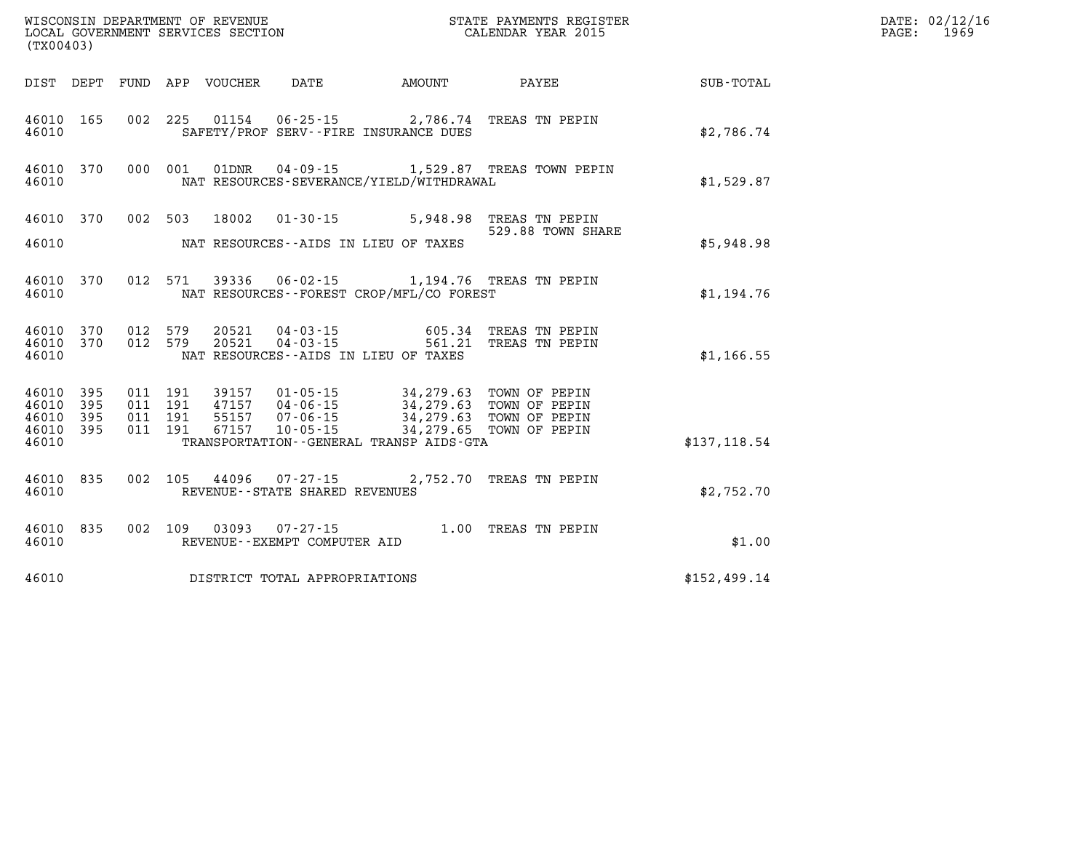|                                  | WISCONSIN DEPARTMENT OF REVENUE<br>LOCAL GOVERNMENT SERVICES SECTION<br>(TX00403) |  |                                          |                                 |                                   | STATE PAYMENTS REGISTER<br>CALENDAR YEAR 2015                                                                                                                                                                            |                                                                                    | DATE: 02/12/16<br>PAGE:<br>1969 |  |
|----------------------------------|-----------------------------------------------------------------------------------|--|------------------------------------------|---------------------------------|-----------------------------------|--------------------------------------------------------------------------------------------------------------------------------------------------------------------------------------------------------------------------|------------------------------------------------------------------------------------|---------------------------------|--|
|                                  |                                                                                   |  |                                          | DIST DEPT FUND APP VOUCHER DATE |                                   | <b>EXAMPLE THE AMOUNT</b>                                                                                                                                                                                                | <b>PAYEE</b> PAYEE                                                                 | SUB-TOTAL                       |  |
| 46010                            | 46010 165                                                                         |  |                                          | 002 225 01154                   |                                   | SAFETY/PROF SERV--FIRE INSURANCE DUES                                                                                                                                                                                    | 06-25-15 2,786.74 TREAS TN PEPIN                                                   | \$2,786.74                      |  |
| 46010                            | 46010 370                                                                         |  | 000 001                                  |                                 |                                   | NAT RESOURCES-SEVERANCE/YIELD/WITHDRAWAL                                                                                                                                                                                 | 01DNR  04-09-15   1,529.87   TREAS TOWN PEPIN                                      | \$1,529.87                      |  |
| 46010                            |                                                                                   |  |                                          | 46010 370 002 503 18002         |                                   | NAT RESOURCES--AIDS IN LIEU OF TAXES                                                                                                                                                                                     | 01-30-15 5,948.98 TREAS TN PEPIN<br>529.88 TOWN SHARE                              | \$5,948.98                      |  |
| 46010                            | 46010 370                                                                         |  |                                          |                                 |                                   | NAT RESOURCES--FOREST CROP/MFL/CO FOREST                                                                                                                                                                                 | 012 571 39336 06-02-15 1,194.76 TREAS TN PEPIN                                     | \$1,194.76                      |  |
| 46010                            | 46010 370<br>46010 370                                                            |  | 012 579<br>012 579                       |                                 |                                   | NAT RESOURCES--AIDS IN LIEU OF TAXES                                                                                                                                                                                     | 20521  04-03-15  605.34  TREAS TN PEPIN<br>20521  04-03-15  561.21  TREAS TN PEPIN | \$1,166.55                      |  |
| 46010<br>46010<br>46010<br>46010 | 46010 395<br>395<br>395<br>395                                                    |  | 011 191<br>011 191<br>011 191<br>011 191 | 67157                           |                                   | 39157   01-05-15   34,279.63   TOWN OF PEPIN<br>47157   04-06-15   34,279.63   TOWN OF PEPIN<br>55157  07-06-15  34,279.63  TOWN OF PEPIN<br>10-05-15 34,279.65 TOWN OF PEPIN<br>TRANSPORTATION--GENERAL TRANSP AIDS-GTA |                                                                                    | \$137, 118.54                   |  |
| 46010                            | 46010 835                                                                         |  |                                          |                                 | REVENUE - - STATE SHARED REVENUES |                                                                                                                                                                                                                          | 002 105 44096 07-27-15 2,752.70 TREAS TN PEPIN                                     | \$2,752.70                      |  |
| 46010                            | 46010 835                                                                         |  |                                          |                                 | REVENUE--EXEMPT COMPUTER AID      |                                                                                                                                                                                                                          | 002 109 03093 07-27-15 1.00 TREAS TN PEPIN                                         | \$1.00                          |  |
| 46010                            |                                                                                   |  |                                          |                                 | DISTRICT TOTAL APPROPRIATIONS     |                                                                                                                                                                                                                          |                                                                                    | \$152,499.14                    |  |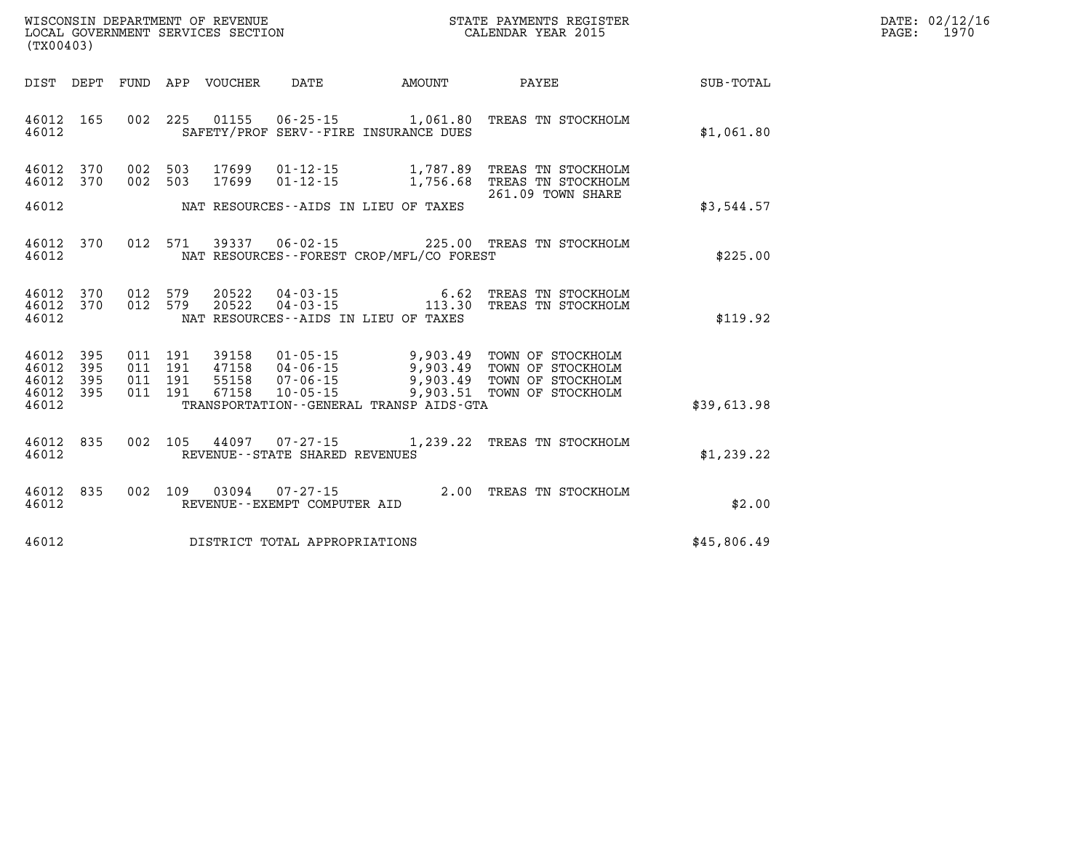| $\mathtt{DATE}$ : | 02/12/16 |
|-------------------|----------|
| PAGE:             | 1970     |

| (TX00403)                                 |                          |                          |                          |                                  |                                                                |                                                                                         |                                                                                  |                  |
|-------------------------------------------|--------------------------|--------------------------|--------------------------|----------------------------------|----------------------------------------------------------------|-----------------------------------------------------------------------------------------|----------------------------------------------------------------------------------|------------------|
| DIST                                      | DEPT                     | FUND                     | APP                      | VOUCHER                          | DATE                                                           | <b>AMOUNT</b>                                                                           | PAYEE                                                                            | <b>SUB-TOTAL</b> |
| 46012<br>46012                            | 165                      | 002                      | 225                      | 01155                            | $06 - 25 - 15$                                                 | 1,061.80<br>SAFETY/PROF SERV--FIRE INSURANCE DUES                                       | TREAS TN STOCKHOLM                                                               | \$1,061.80       |
| 46012<br>46012                            | 370<br>370               | 002<br>002               | 503<br>503               | 17699<br>17699                   | $01 - 12 - 15$<br>$01 - 12 - 15$                               | 1,787.89<br>1,756.68                                                                    | TREAS TN STOCKHOLM<br>TREAS TN STOCKHOLM<br>261.09 TOWN SHARE                    |                  |
| 46012                                     |                          |                          |                          |                                  |                                                                | NAT RESOURCES--AIDS IN LIEU OF TAXES                                                    |                                                                                  | \$3,544.57       |
| 46012<br>46012                            | 370                      | 012                      | 571                      | 39337                            | $06 - 02 - 15$                                                 | NAT RESOURCES - - FOREST CROP/MFL/CO FOREST                                             | 225.00 TREAS TN STOCKHOLM                                                        | \$225.00         |
| 46012<br>46012<br>46012                   | 370<br>370               | 012<br>012               | 579<br>579               | 20522<br>20522                   | $04 - 03 - 15$<br>$04 - 03 - 15$                               | 6.62<br>113.30<br>NAT RESOURCES -- AIDS IN LIEU OF TAXES                                | TREAS TN STOCKHOLM<br>TREAS TN STOCKHOLM                                         | \$119.92         |
| 46012<br>46012<br>46012<br>46012<br>46012 | 395<br>395<br>395<br>395 | 011<br>011<br>011<br>011 | 191<br>191<br>191<br>191 | 39158<br>47158<br>55158<br>67158 | $01 - 05 - 15$<br>04-06-15<br>$07 - 06 - 15$<br>$10 - 05 - 15$ | 9,903.49<br>9,903.49<br>9,903.49<br>9,903.51<br>TRANSPORTATION--GENERAL TRANSP AIDS-GTA | TOWN OF STOCKHOLM<br>TOWN OF STOCKHOLM<br>TOWN OF STOCKHOLM<br>TOWN OF STOCKHOLM | \$39,613.98      |
| 46012<br>46012                            | 835                      | 002                      | 105                      | 44097                            | $07 - 27 - 15$<br>REVENUE - - STATE SHARED REVENUES            | 1,239.22                                                                                | TREAS TN STOCKHOLM                                                               | \$1,239.22       |
| 46012<br>46012                            | 835                      | 002                      | 109                      | 03094                            | $07 - 27 - 15$<br>REVENUE--EXEMPT COMPUTER AID                 | 2.00                                                                                    | TREAS TN STOCKHOLM                                                               | \$2.00           |
| 46012                                     |                          |                          |                          |                                  | DISTRICT TOTAL APPROPRIATIONS                                  |                                                                                         |                                                                                  | \$45,806.49      |

WISCONSIN DEPARTMENT OF REVENUE **STATE PAYMENTS REGISTER**<br>LOCAL GOVERNMENT SERVICES SECTION

LOCAL GOVERNMENT SERVICES SECTION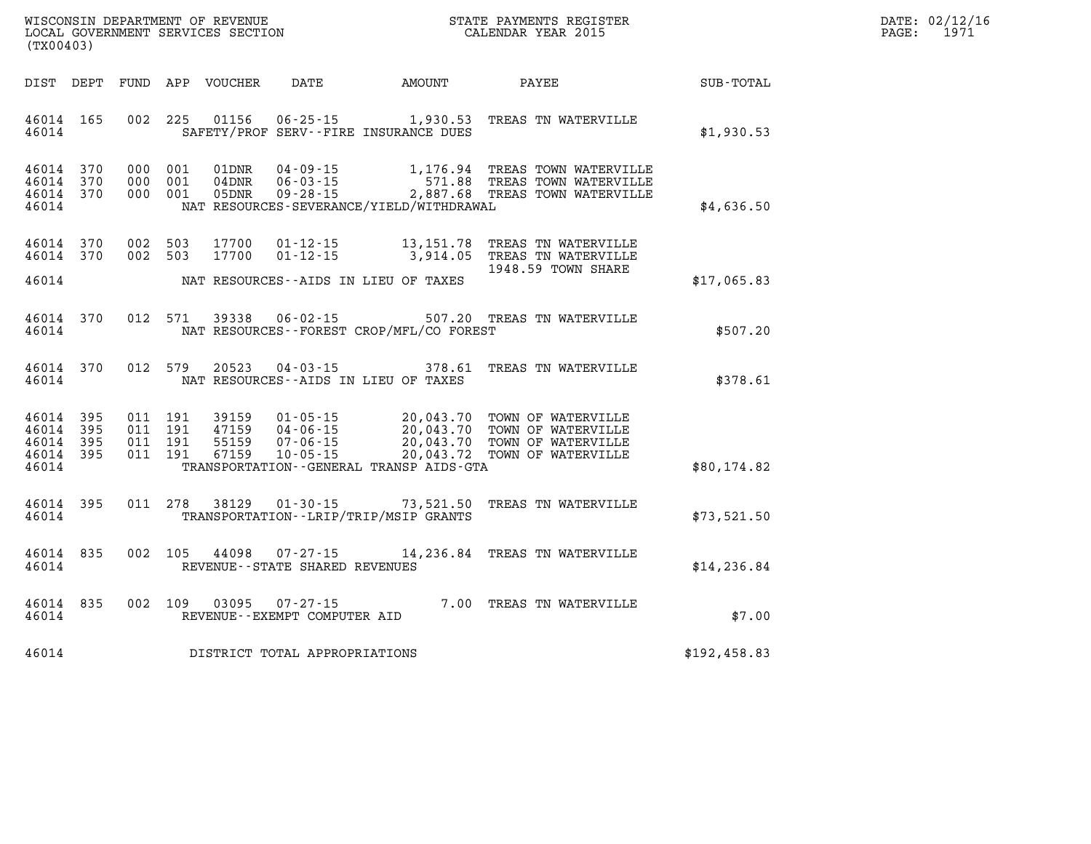| DATE:             | 02/12/16 |
|-------------------|----------|
| $\mathtt{PAGE}$ : | 1971     |

| (TX00403)                                 |                                                      | WISCONSIN DEPARTMENT OF REVENUE<br>LOCAL GOVERNMENT SERVICES SECTION |                                                                      |                                                                                             | STATE PAYMENTS REGISTER<br>CALENDAR YEAR 2015                                        |              |
|-------------------------------------------|------------------------------------------------------|----------------------------------------------------------------------|----------------------------------------------------------------------|---------------------------------------------------------------------------------------------|--------------------------------------------------------------------------------------|--------------|
| DIST                                      | DEPT<br>FUND                                         | APP<br>VOUCHER                                                       | DATE                                                                 | AMOUNT                                                                                      | PAYEE                                                                                | SUB-TOTAL    |
| 46014<br>46014                            | 002<br>165                                           | 225<br>01156                                                         | $06 - 25 - 15$                                                       | 1,930.53<br>SAFETY/PROF SERV--FIRE INSURANCE DUES                                           | TREAS TN WATERVILLE                                                                  | \$1,930.53   |
| 46014<br>46014<br>46014<br>46014          | 370<br>000<br>370<br>000<br>370<br>000               | 001<br>01DNR<br>001<br>04DNR<br>001<br>05DNR                         | $04 - 09 - 15$<br>$06 - 03 - 15$<br>$09 - 28 - 15$                   | 1,176.94<br>571.88<br>2,887.68<br>NAT RESOURCES-SEVERANCE/YIELD/WITHDRAWAL                  | TREAS TOWN WATERVILLE<br>TREAS TOWN WATERVILLE<br>TREAS TOWN WATERVILLE              | \$4,636.50   |
| 46014<br>46014<br>46014                   | 370<br>002<br>370<br>002                             | 503<br>17700<br>503<br>17700                                         | $01 - 12 - 15$<br>$01 - 12 - 15$                                     | 13, 151. 78<br>3,914.05<br>NAT RESOURCES -- AIDS IN LIEU OF TAXES                           | TREAS TN WATERVILLE<br>TREAS TN WATERVILLE<br>1948.59 TOWN SHARE                     | \$17,065.83  |
| 46014<br>46014                            | 012<br>370                                           | 571<br>39338                                                         | $06 - 02 - 15$                                                       | 507.20<br>NAT RESOURCES - - FOREST CROP/MFL/CO FOREST                                       | TREAS TN WATERVILLE                                                                  | \$507.20     |
| 46014<br>46014                            | 370<br>012                                           | 579<br>20523                                                         | $04 - 03 - 15$                                                       | 378.61<br>NAT RESOURCES -- AIDS IN LIEU OF TAXES                                            | TREAS TN WATERVILLE                                                                  | \$378.61     |
| 46014<br>46014<br>46014<br>46014<br>46014 | 395<br>011<br>395<br>011<br>011<br>395<br>395<br>011 | 191<br>39159<br>191<br>47159<br>191<br>55159<br>191<br>67159         | $01 - 05 - 15$<br>$04 - 06 - 15$<br>$07 - 06 - 15$<br>$10 - 05 - 15$ | 20,043.70<br>20,043.70<br>20,043.70<br>20,043.72<br>TRANSPORTATION--GENERAL TRANSP AIDS-GTA | TOWN OF WATERVILLE<br>TOWN OF WATERVILLE<br>TOWN OF WATERVILLE<br>TOWN OF WATERVILLE | \$80,174.82  |
| 46014<br>46014                            | 011<br>395                                           | 278<br>38129                                                         | $01 - 30 - 15$                                                       | 73,521.50<br>TRANSPORTATION - - LRIP/TRIP/MSIP GRANTS                                       | TREAS TN WATERVILLE                                                                  | \$73,521.50  |
| 46014<br>46014                            | 835<br>002                                           | 105<br>44098                                                         | $07 - 27 - 15$<br>REVENUE - - STATE SHARED REVENUES                  | 14,236.84                                                                                   | TREAS TN WATERVILLE                                                                  | \$14, 236.84 |
| 46014<br>46014                            | 835<br>002                                           | 109<br>03095                                                         | $07 - 27 - 15$<br>REVENUE--EXEMPT COMPUTER AID                       | 7.00                                                                                        | TREAS TN WATERVILLE                                                                  | \$7.00       |
| 46014                                     |                                                      |                                                                      | DISTRICT TOTAL APPROPRIATIONS                                        |                                                                                             |                                                                                      | \$192,458.83 |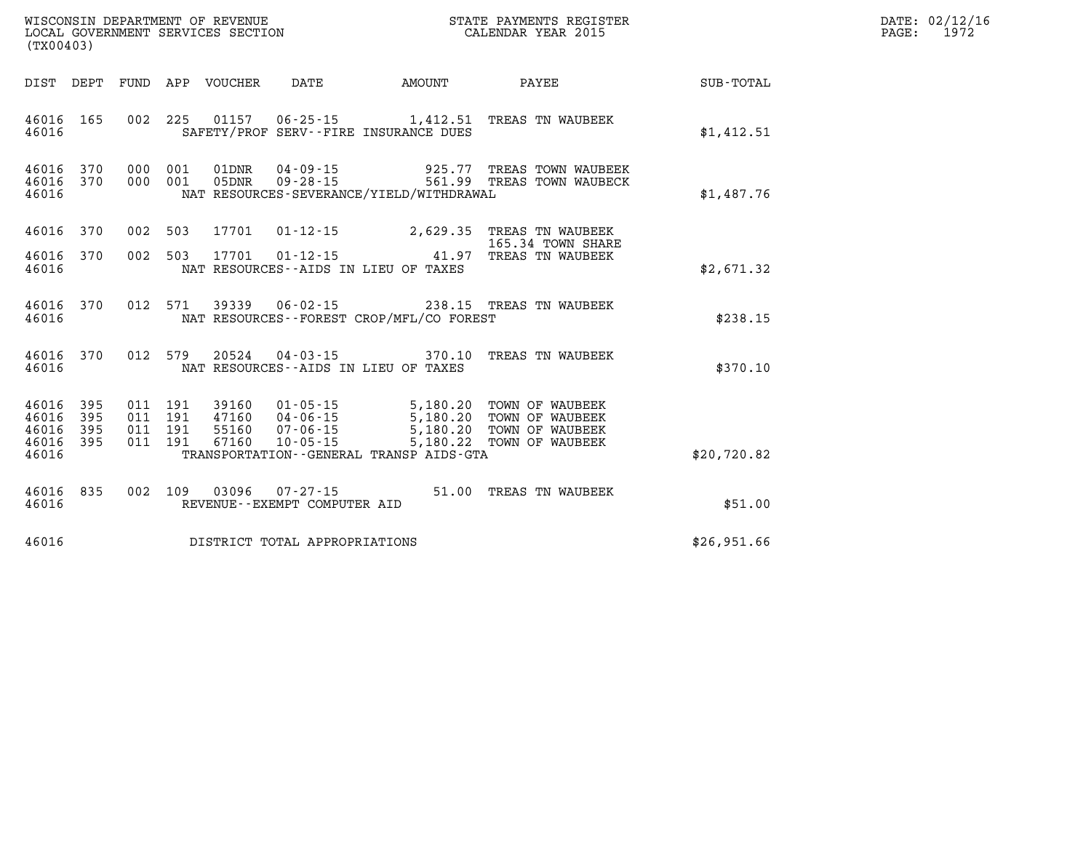| DATE: | 02/12/16 |
|-------|----------|
| PAGE: | 1972     |

| (TX00403)                                 |                          |                          |                          | WISCONSIN DEPARTMENT OF REVENUE<br>LOCAL GOVERNMENT SERVICES SECTION |                                                                      |                                                                                         | STATE PAYMENTS REGISTER<br>CALENDAR YEAR 2015                            |                  |
|-------------------------------------------|--------------------------|--------------------------|--------------------------|----------------------------------------------------------------------|----------------------------------------------------------------------|-----------------------------------------------------------------------------------------|--------------------------------------------------------------------------|------------------|
| DIST                                      | DEPT                     | FUND                     | APP                      | VOUCHER                                                              | DATE                                                                 | AMOUNT                                                                                  | PAYEE                                                                    | <b>SUB-TOTAL</b> |
| 46016<br>46016                            | 165                      | 002                      | 225                      | 01157                                                                |                                                                      | $06 - 25 - 15$ 1,412.51<br>SAFETY/PROF SERV--FIRE INSURANCE DUES                        | TREAS TN WAUBEEK                                                         | \$1,412.51       |
| 46016<br>46016<br>46016                   | 370<br>370               | 000<br>000               | 001<br>001               | 01DNR<br>05DNR                                                       | $04 - 09 - 15$<br>$09 - 28 - 15$                                     | 925.77<br>561.99<br>NAT RESOURCES-SEVERANCE/YIELD/WITHDRAWAL                            | TREAS TOWN WAUBEEK<br>TREAS TOWN WAUBECK                                 | \$1,487.76       |
| 46016                                     | 370                      | 002                      | 503                      | 17701                                                                | $01 - 12 - 15$                                                       | 2,629.35                                                                                | TREAS TN WAUBEEK<br>165.34 TOWN SHARE                                    |                  |
| 46016<br>46016                            | 370                      | 002                      | 503                      | 17701                                                                | $01 - 12 - 15$                                                       | 41.97<br>NAT RESOURCES -- AIDS IN LIEU OF TAXES                                         | TREAS TN WAUBEEK                                                         | \$2,671.32       |
| 46016<br>46016                            | 370                      | 012                      | 571                      | 39339                                                                | $06 - 02 - 15$                                                       | NAT RESOURCES - - FOREST CROP/MFL/CO FOREST                                             | 238.15 TREAS TN WAUBEEK                                                  | \$238.15         |
| 46016<br>46016                            | 370                      | 012                      | 579                      | 20524                                                                | $04 - 03 - 15$                                                       | 370.10<br>NAT RESOURCES -- AIDS IN LIEU OF TAXES                                        | TREAS TN WAUBEEK                                                         | \$370.10         |
| 46016<br>46016<br>46016<br>46016<br>46016 | 395<br>395<br>395<br>395 | 011<br>011<br>011<br>011 | 191<br>191<br>191<br>191 | 39160<br>47160<br>55160<br>67160                                     | $01 - 05 - 15$<br>$04 - 06 - 15$<br>$07 - 06 - 15$<br>$10 - 05 - 15$ | 5,180.20<br>5,180.20<br>5,180.20<br>5,180.22<br>TRANSPORTATION--GENERAL TRANSP AIDS-GTA | TOWN OF WAUBEEK<br>TOWN OF WAUBEEK<br>TOWN OF WAUBEEK<br>TOWN OF WAUBEEK | \$20,720.82      |
|                                           |                          |                          |                          |                                                                      |                                                                      |                                                                                         |                                                                          |                  |
| 46016<br>46016                            | 835                      | 002                      | 109                      | 03096                                                                | $07 - 27 - 15$<br>REVENUE--EXEMPT COMPUTER AID                       | 51.00                                                                                   | TREAS TN WAUBEEK                                                         | \$51.00          |
| 46016                                     |                          |                          |                          |                                                                      | DISTRICT TOTAL APPROPRIATIONS                                        |                                                                                         |                                                                          | \$26,951.66      |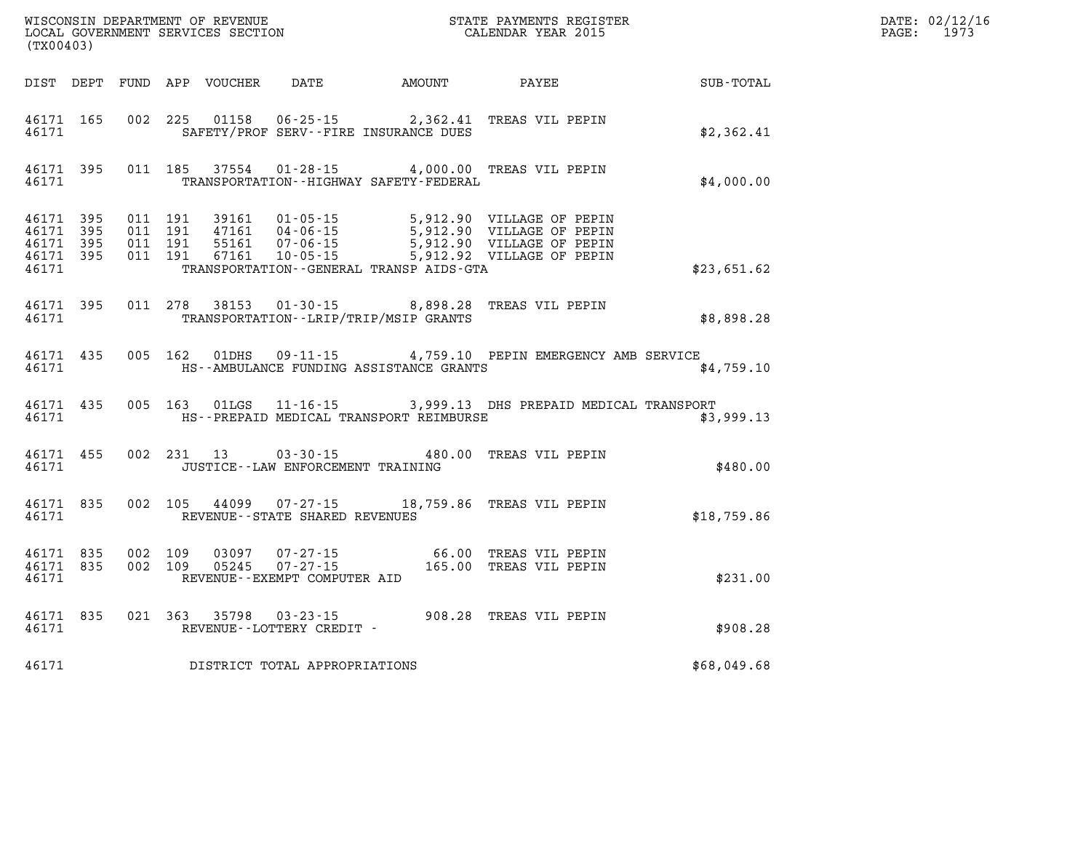| (TX00403)                       |                        |  |                                          |                                                 | WISCONSIN DEPARTMENT OF REVENUE<br>LOCAL GOVERNMENT SERVICES SECTION FOR THE STATE PAYMENTS REGISTER                                                                                                              |             | DATE: 02/12/16<br>PAGE: 1973 |
|---------------------------------|------------------------|--|------------------------------------------|-------------------------------------------------|-------------------------------------------------------------------------------------------------------------------------------------------------------------------------------------------------------------------|-------------|------------------------------|
|                                 |                        |  |                                          |                                                 |                                                                                                                                                                                                                   |             |                              |
|                                 |                        |  |                                          | 46171 SAFETY/PROF SERV--FIRE INSURANCE DUES     | 46171 165 002 225 01158 06-25-15 2,362.41 TREAS VIL PEPIN                                                                                                                                                         | \$2,362.41  |                              |
|                                 |                        |  |                                          | 46171 TRANSPORTATION - HIGHWAY SAFETY - FEDERAL | 46171 395 011 185 37554 01-28-15 4,000.00 TREAS VIL PEPIN                                                                                                                                                         | \$4,000.00  |                              |
| 46171 395<br>46171 395<br>46171 | 46171 395<br>46171 395 |  |                                          | TRANSPORTATION - - GENERAL TRANSP AIDS - GTA    | 011 191 39161 01-05-15 5,912.90 VILLAGE OF PEPIN<br>011 191 47161 04-06-15 5,912.90 VILLAGE OF PEPIN<br>011 191 55161 07-06-15 5,912.90 VILLAGE OF PEPIN<br>011 191 67161 10-05-15 5,912.92 VILLAGE OF PEPIN      | \$23,651.62 |                              |
|                                 |                        |  |                                          | 46171 TRANSPORTATION - LRIP/TRIP/MSIP GRANTS    | 46171 395 011 278 38153 01-30-15 8,898.28 TREAS VIL PEPIN                                                                                                                                                         | \$8,898.28  |                              |
|                                 | 46171                  |  |                                          | HS--AMBULANCE FUNDING ASSISTANCE GRANTS         | 46171 435 005 162 01DHS 09-11-15 4,759.10 PEPIN EMERGENCY AMB SERVICE                                                                                                                                             | \$4,759.10  |                              |
|                                 |                        |  |                                          |                                                 | 46171 435 005 163 01LGS 11-16-15 3,999.13 DHS PREPAID MEDICAL TRANSPORT<br>46171 HS--PREPAID MEDICAL TRANSPORT REIMBURSE                                                                                          | \$3,999.13  |                              |
|                                 |                        |  | 46171 JUSTICE - LAW ENFORCEMENT TRAINING |                                                 | 46171 455 002 231 13 03-30-15 480.00 TREAS VIL PEPIN                                                                                                                                                              | \$480.00    |                              |
|                                 |                        |  | 46171 REVENUE - STATE SHARED REVENUES    |                                                 | 46171 835 002 105 44099 07-27-15 18,759.86 TREAS VIL PEPIN                                                                                                                                                        | \$18,759.86 |                              |
|                                 |                        |  | 46171 REVENUE--EXEMPT COMPUTER AID       |                                                 | $\begin{array}{cccc} 46171 & 835 & 002 & 109 & 03097 & 07\cdot 27\cdot 15 & 66.00 & \text{TREAS VIL PEPIN} \\ 46171 & 835 & 002 & 109 & 05245 & 07\cdot 27\cdot 15 & 165.00 & \text{TREAS VIL PEPIN} \end{array}$ | \$231.00    |                              |
|                                 |                        |  | 46171 REVENUE--LOTTERY CREDIT -          |                                                 | 46171 835 021 363 35798 03-23-15<br>03-23-15<br>208.28 TREAS VIL PEPIN                                                                                                                                            | \$908.28    |                              |
| 46171                           |                        |  | DISTRICT TOTAL APPROPRIATIONS            |                                                 |                                                                                                                                                                                                                   | \$68,049.68 |                              |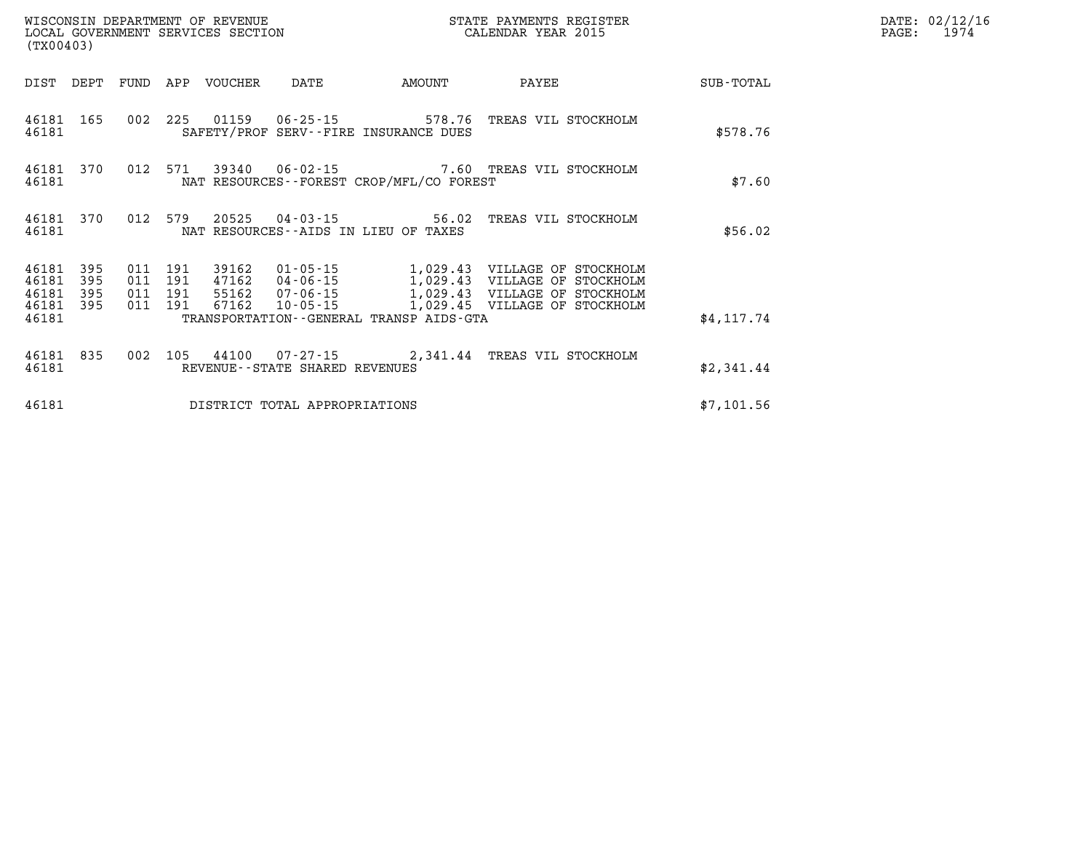|                             | WISCONSIN DEPARTMENT OF REVENUE<br>LOCAL GOVERNMENT SERVICES SECTION<br>(TX00403) |                    |         |                                 |                                |                                              | STATE PAYMENTS REGISTER<br>CALENDAR YEAR 2015               |            | DATE: 02/12/16<br>PAGE: 1974 |
|-----------------------------|-----------------------------------------------------------------------------------|--------------------|---------|---------------------------------|--------------------------------|----------------------------------------------|-------------------------------------------------------------|------------|------------------------------|
|                             |                                                                                   |                    |         | DIST DEPT FUND APP VOUCHER DATE |                                | AMOUNT                                       | PAYEE                                                       | SUB-TOTAL  |                              |
| 46181                       |                                                                                   |                    |         |                                 |                                | SAFETY/PROF SERV--FIRE INSURANCE DUES        | 46181 165 002 225 01159 06-25-15 578.76 TREAS VIL STOCKHOLM | \$578.76   |                              |
| 46181                       |                                                                                   |                    |         |                                 |                                | NAT RESOURCES--FOREST CROP/MFL/CO FOREST     | 46181 370 012 571 39340 06-02-15 7.60 TREAS VIL STOCKHOLM   | \$7.60     |                              |
| 46181                       | 46181 370                                                                         |                    |         |                                 |                                | NAT RESOURCES--AIDS IN LIEU OF TAXES         | 012 579 20525 04-03-15 56.02 TREAS VIL STOCKHOLM            | \$56.02    |                              |
| 46181 395<br>46181<br>46181 | 395<br>395                                                                        | 011 191<br>011 191 | 011 191 |                                 |                                |                                              |                                                             |            |                              |
| 46181                       | 46181 395                                                                         | 011 191            |         |                                 |                                | TRANSPORTATION - - GENERAL TRANSP AIDS - GTA | 67162  10-05-15  1,029.45  VILLAGE OF STOCKHOLM             | \$4.117.74 |                              |
| 46181                       | 46181 835                                                                         |                    |         |                                 | REVENUE--STATE SHARED REVENUES |                                              | 002 105 44100 07-27-15 2,341.44 TREAS VIL STOCKHOLM         | \$2,341.44 |                              |
| 46181                       |                                                                                   |                    |         |                                 | DISTRICT TOTAL APPROPRIATIONS  |                                              |                                                             | \$7,101.56 |                              |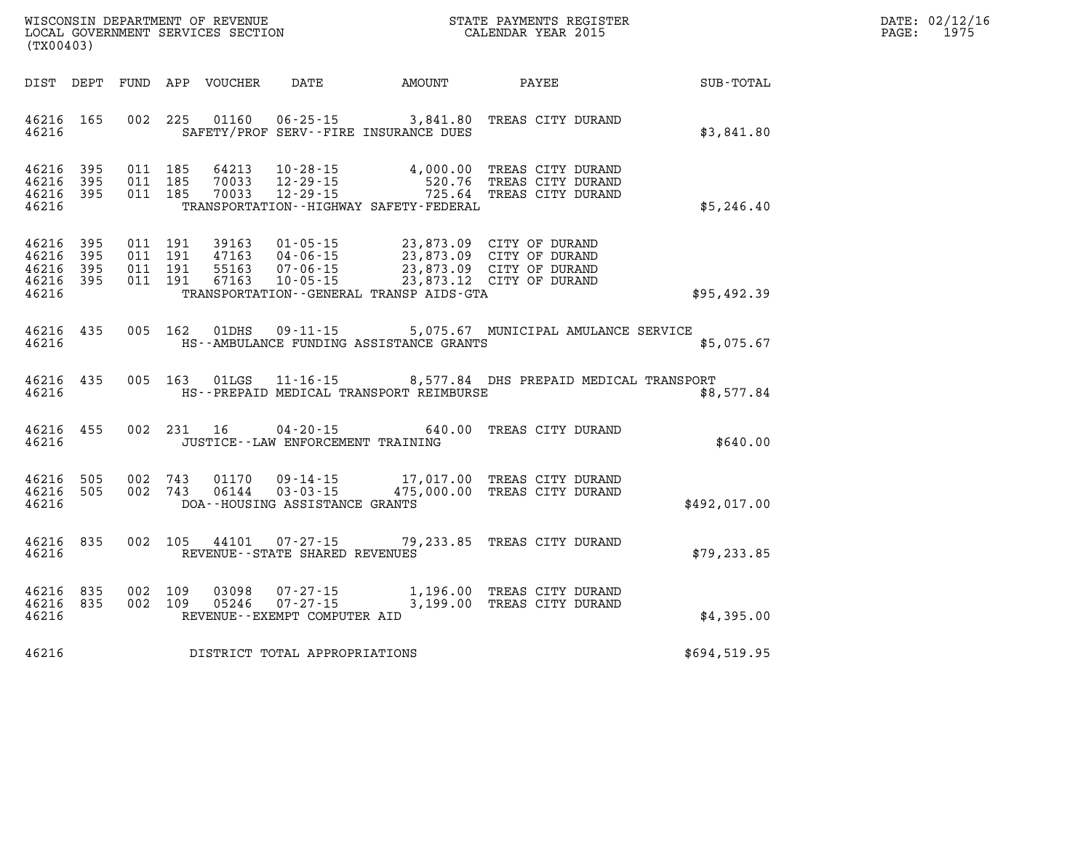| WISCONSIN DEPARTMENT OF REVENUE      | PAYMENTS REGISTER<br>3TATE | DATE: | 02/12/16 |
|--------------------------------------|----------------------------|-------|----------|
| GOVERNMENT SERVICES SECTION<br>LOCAL | CALENDAR YEAR 2015         | PAGE  | 1975     |

| LOCAL GOVERNMENT SERVICES SECTION<br>(TX00403)               |  |            |                                   | CALENDAR YEAR 2015                                                                                                                                                                                                                                                                                                                                                                |                                                                             | PAGE: | 1975 |
|--------------------------------------------------------------|--|------------|-----------------------------------|-----------------------------------------------------------------------------------------------------------------------------------------------------------------------------------------------------------------------------------------------------------------------------------------------------------------------------------------------------------------------------------|-----------------------------------------------------------------------------|-------|------|
|                                                              |  |            |                                   | DIST DEPT FUND APP VOUCHER DATE AMOUNT PAYEE                                                                                                                                                                                                                                                                                                                                      | SUB-TOTAL                                                                   |       |      |
| 46216 165<br>46216                                           |  |            |                                   | 002 225 01160 06-25-15 3,841.80 TREAS CITY DURAND<br>SAFETY/PROF SERV--FIRE INSURANCE DUES                                                                                                                                                                                                                                                                                        | \$3,841.80                                                                  |       |      |
| 46216 395<br>46216<br>395<br>46216 395<br>46216              |  |            |                                   | 011 185 64213 10-28-15 4,000.00 TREAS CITY DURAND<br>011 185 70033 12-29-15 520.76 TREAS CITY DURAND<br>011 185 70033 12-29-15 725.64 TREAS CITY DURAND<br>TRANSPORTATION - - HIGHWAY SAFETY - FEDERAL                                                                                                                                                                            | \$5,246.40                                                                  |       |      |
| 46216 395<br>46216<br>395<br>46216 395<br>46216 395<br>46216 |  |            |                                   | $\begin{array}{cccc} 011 & 191 & 39163 & 01\cdot 05\cdot 15 & 23\, , 873\, .09 & \text{CITY OF DURAND} \\ 011 & 191 & 47163 & 04\cdot 06\cdot 15 & 23\, , 873\, .09 & \text{CITY OF DURAND} \\ 011 & 191 & 55163 & 07\cdot 06\cdot 15 & 23\, , 873\, .09 & \text{CITY OF DURAND} \\ 011 & 191 & 67163 & 10\cdot 05\cdot 15 & 23\, , 8$<br>TRANSPORTATION--GENERAL TRANSP AIDS-GTA | \$95,492.39                                                                 |       |      |
| 46216                                                        |  |            |                                   | 46216 435 005 162 01DHS 09-11-15 5,075.67 MUNICIPAL AMULANCE SERVICE<br>HS--AMBULANCE FUNDING ASSISTANCE GRANTS                                                                                                                                                                                                                                                                   | \$5,075.67                                                                  |       |      |
| 46216 435<br>46216                                           |  |            |                                   | HS--PREPAID MEDICAL TRANSPORT REIMBURSE                                                                                                                                                                                                                                                                                                                                           | 005 163 01LGS 11-16-15 8,577.84 DHS PREPAID MEDICAL TRANSPORT<br>\$8,577.84 |       |      |
| 46216 455<br>46216                                           |  | 002 231 16 | JUSTICE--LAW ENFORCEMENT TRAINING | 04-20-15 640.00 TREAS CITY DURAND                                                                                                                                                                                                                                                                                                                                                 | \$640.00                                                                    |       |      |
| 46216 505<br>46216 505<br>46216                              |  |            | DOA--HOUSING ASSISTANCE GRANTS    | 002 743 01170 09-14-15 17,017.00 TREAS CITY DURAND<br>002 743 06144 03-03-15 475,000.00 TREAS CITY DURAND                                                                                                                                                                                                                                                                         | \$492,017.00                                                                |       |      |
| 46216 835<br>46216                                           |  |            | REVENUE--STATE SHARED REVENUES    | 002 105 44101 07-27-15 79,233.85 TREAS CITY DURAND                                                                                                                                                                                                                                                                                                                                | \$79, 233.85                                                                |       |      |
| 46216 835<br>46216 835<br>46216                              |  |            | REVENUE--EXEMPT COMPUTER AID      | 002 109 03098 07-27-15 1,196.00 TREAS CITY DURAND<br>002 109 05246 07-27-15 3,199.00 TREAS CITY DURAND                                                                                                                                                                                                                                                                            | \$4,395.00                                                                  |       |      |
| 46216                                                        |  |            | DISTRICT TOTAL APPROPRIATIONS     |                                                                                                                                                                                                                                                                                                                                                                                   | \$694,519.95                                                                |       |      |